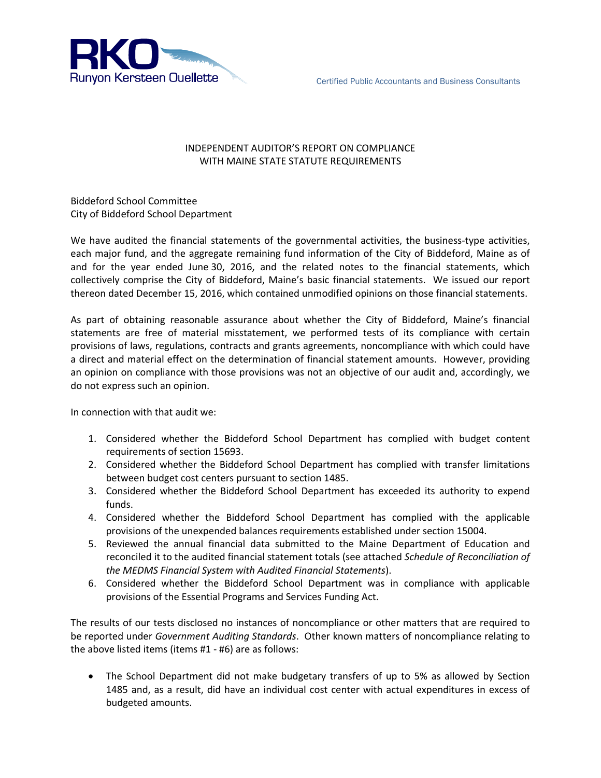

## INDEPENDENT AUDITOR'S REPORT ON COMPLIANCE WITH MAINE STATE STATUTE REQUIREMENTS

Biddeford School Committee City of Biddeford School Department

We have audited the financial statements of the governmental activities, the business-type activities, each major fund, and the aggregate remaining fund information of the City of Biddeford, Maine as of and for the year ended June 30, 2016, and the related notes to the financial statements, which collectively comprise the City of Biddeford, Maine's basic financial statements. We issued our report thereon dated December 15, 2016, which contained unmodified opinions on those financial statements.

As part of obtaining reasonable assurance about whether the City of Biddeford, Maine's financial statements are free of material misstatement, we performed tests of its compliance with certain provisions of laws, regulations, contracts and grants agreements, noncompliance with which could have a direct and material effect on the determination of financial statement amounts. However, providing an opinion on compliance with those provisions was not an objective of our audit and, accordingly, we do not express such an opinion.

In connection with that audit we:

- 1. Considered whether the Biddeford School Department has complied with budget content requirements of section 15693.
- 2. Considered whether the Biddeford School Department has complied with transfer limitations between budget cost centers pursuant to section 1485.
- 3. Considered whether the Biddeford School Department has exceeded its authority to expend funds.
- 4. Considered whether the Biddeford School Department has complied with the applicable provisions of the unexpended balances requirements established under section 15004.
- 5. Reviewed the annual financial data submitted to the Maine Department of Education and reconciled it to the audited financial statement totals (see attached *Schedule of Reconciliation of the MEDMS Financial System with Audited Financial Statements*).
- 6. Considered whether the Biddeford School Department was in compliance with applicable provisions of the Essential Programs and Services Funding Act.

The results of our tests disclosed no instances of noncompliance or other matters that are required to be reported under *Government Auditing Standards*. Other known matters of noncompliance relating to the above listed items (items #1 - #6) are as follows:

 The School Department did not make budgetary transfers of up to 5% as allowed by Section 1485 and, as a result, did have an individual cost center with actual expenditures in excess of budgeted amounts.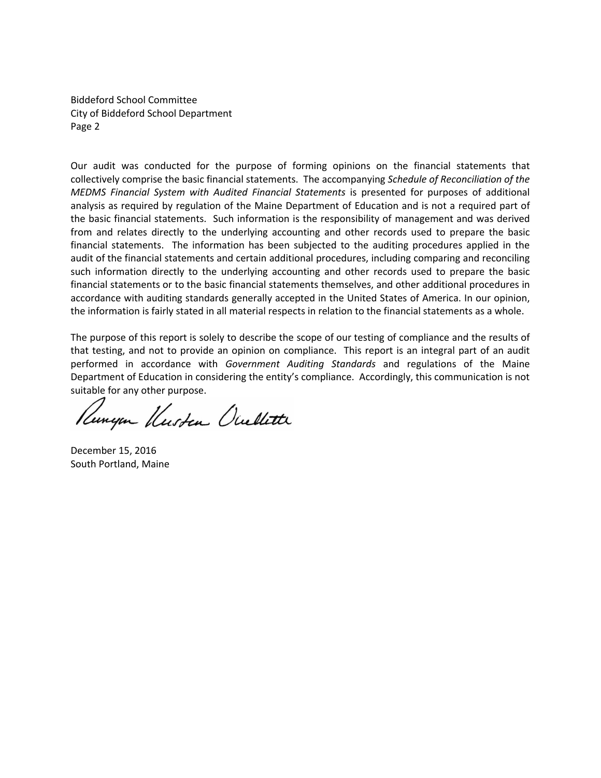Biddeford School Committee City of Biddeford School Department Page 2

Our audit was conducted for the purpose of forming opinions on the financial statements that collectively comprise the basic financial statements. The accompanying *Schedule of Reconciliation of the MEDMS Financial System with Audited Financial Statements* is presented for purposes of additional analysis as required by regulation of the Maine Department of Education and is not a required part of the basic financial statements. Such information is the responsibility of management and was derived from and relates directly to the underlying accounting and other records used to prepare the basic financial statements. The information has been subjected to the auditing procedures applied in the audit of the financial statements and certain additional procedures, including comparing and reconciling such information directly to the underlying accounting and other records used to prepare the basic financial statements or to the basic financial statements themselves, and other additional procedures in accordance with auditing standards generally accepted in the United States of America. In our opinion, the information is fairly stated in all material respects in relation to the financial statements as a whole.

The purpose of this report is solely to describe the scope of our testing of compliance and the results of that testing, and not to provide an opinion on compliance. This report is an integral part of an audit performed in accordance with *Government Auditing Standards* and regulations of the Maine Department of Education in considering the entity's compliance. Accordingly, this communication is not suitable for any other purpose.

Runyon Kusten Ocullette

December 15, 2016 South Portland, Maine